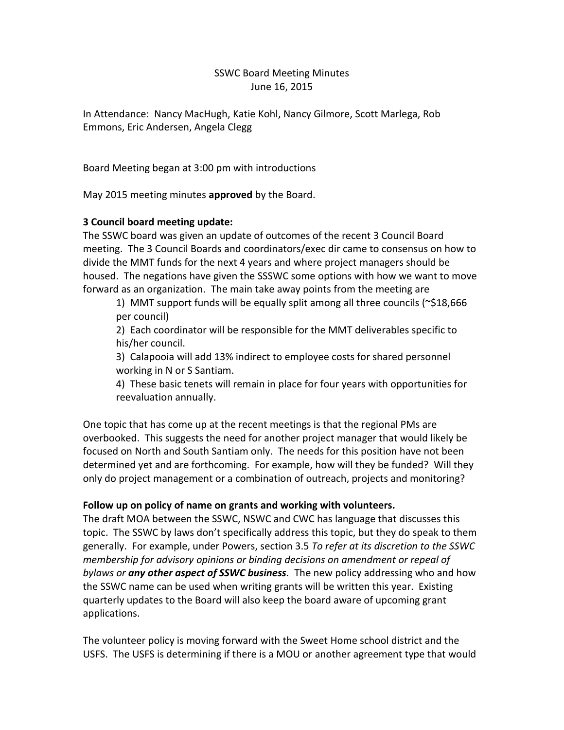# SSWC Board Meeting Minutes June 16, 2015

In Attendance: Nancy MacHugh, Katie Kohl, Nancy Gilmore, Scott Marlega, Rob Emmons, Eric Andersen, Angela Clegg

Board Meeting began at 3:00 pm with introductions

May 2015 meeting minutes **approved** by the Board.

# **3 Council board meeting update:**

The SSWC board was given an update of outcomes of the recent 3 Council Board meeting. The 3 Council Boards and coordinators/exec dir came to consensus on how to divide the MMT funds for the next 4 years and where project managers should be housed. The negations have given the SSSWC some options with how we want to move forward as an organization. The main take away points from the meeting are

1) MMT support funds will be equally split among all three councils ( $\approx$ \$18,666 per council)

2) Each coordinator will be responsible for the MMT deliverables specific to his/her council.

3) Calapooia will add 13% indirect to employee costs for shared personnel working in N or S Santiam.

4) These basic tenets will remain in place for four years with opportunities for reevaluation annually.

One topic that has come up at the recent meetings is that the regional PMs are overbooked. This suggests the need for another project manager that would likely be focused on North and South Santiam only. The needs for this position have not been determined yet and are forthcoming. For example, how will they be funded? Will they only do project management or a combination of outreach, projects and monitoring?

# **Follow up on policy of name on grants and working with volunteers.**

The draft MOA between the SSWC, NSWC and CWC has language that discusses this topic. The SSWC by laws don't specifically address this topic, but they do speak to them generally. For example, under Powers, section 3.5 *To refer at its discretion to the SSWC membership for advisory opinions or binding decisions on amendment or repeal of bylaws or any other aspect of SSWC business.* The new policy addressing who and how the SSWC name can be used when writing grants will be written this year. Existing quarterly updates to the Board will also keep the board aware of upcoming grant applications.

The volunteer policy is moving forward with the Sweet Home school district and the USFS. The USFS is determining if there is a MOU or another agreement type that would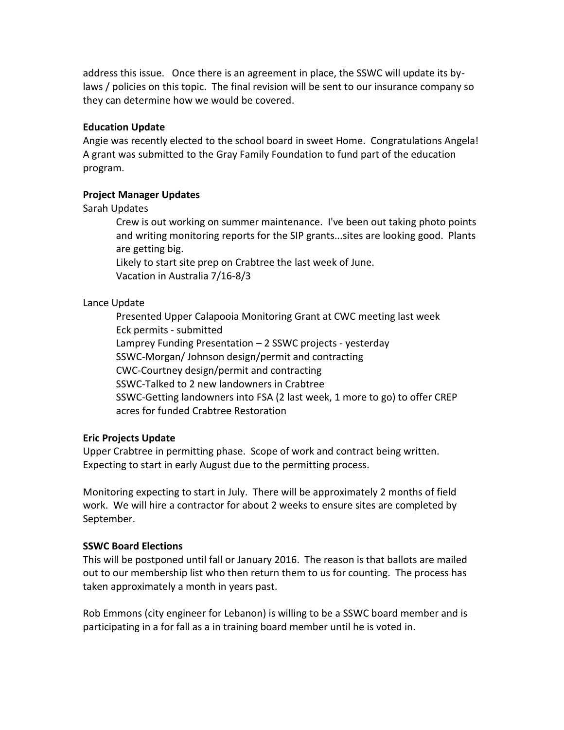address this issue. Once there is an agreement in place, the SSWC will update its bylaws / policies on this topic. The final revision will be sent to our insurance company so they can determine how we would be covered.

### **Education Update**

Angie was recently elected to the school board in sweet Home. Congratulations Angela! A grant was submitted to the Gray Family Foundation to fund part of the education program.

### **Project Manager Updates**

### Sarah Updates

Crew is out working on summer maintenance. I've been out taking photo points and writing monitoring reports for the SIP grants...sites are looking good. Plants are getting big.

Likely to start site prep on Crabtree the last week of June. Vacation in Australia 7/16-8/3

### Lance Update

Presented Upper Calapooia Monitoring Grant at CWC meeting last week Eck permits - submitted Lamprey Funding Presentation – 2 SSWC projects - yesterday SSWC-Morgan/ Johnson design/permit and contracting CWC-Courtney design/permit and contracting SSWC-Talked to 2 new landowners in Crabtree SSWC-Getting landowners into FSA (2 last week, 1 more to go) to offer CREP acres for funded Crabtree Restoration

### **Eric Projects Update**

Upper Crabtree in permitting phase. Scope of work and contract being written. Expecting to start in early August due to the permitting process.

Monitoring expecting to start in July. There will be approximately 2 months of field work. We will hire a contractor for about 2 weeks to ensure sites are completed by September.

# **SSWC Board Elections**

This will be postponed until fall or January 2016. The reason is that ballots are mailed out to our membership list who then return them to us for counting. The process has taken approximately a month in years past.

Rob Emmons (city engineer for Lebanon) is willing to be a SSWC board member and is participating in a for fall as a in training board member until he is voted in.